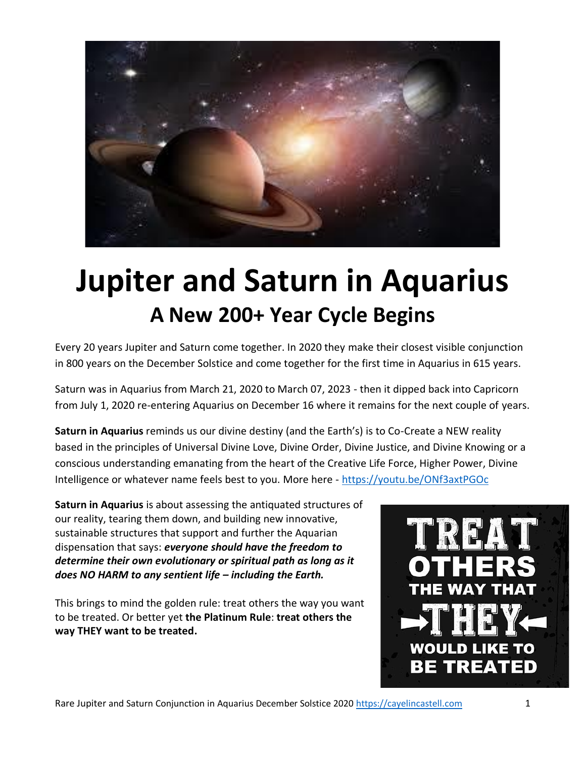

# **Jupiter and Saturn in Aquarius A New 200+ Year Cycle Begins**

Every 20 years Jupiter and Saturn come together. In 2020 they make their closest visible conjunction in 800 years on the December Solstice and come together for the first time in Aquarius in 615 years.

Saturn was in Aquarius from March 21, 2020 to March 07, 2023 - then it dipped back into Capricorn from July 1, 2020 re-entering Aquarius on December 16 where it remains for the next couple of years.

**Saturn in Aquarius** reminds us our divine destiny (and the Earth's) is to Co-Create a NEW reality based in the principles of Universal Divine Love, Divine Order, Divine Justice, and Divine Knowing or a conscious understanding emanating from the heart of the Creative Life Force, Higher Power, Divine Intelligence or whatever name feels best to you. More here - <https://youtu.be/ONf3axtPGOc>

**Saturn in Aquarius** is about assessing the antiquated structures of our reality, tearing them down, and building new innovative, sustainable structures that support and further the Aquarian dispensation that says: *everyone should have the freedom to determine their own evolutionary or spiritual path as long as it does NO HARM to any sentient life – including the Earth.*

This brings to mind the golden rule: treat others the way you want to be treated. Or better yet **the Platinum Rule**: **treat others the way THEY want to be treated.**

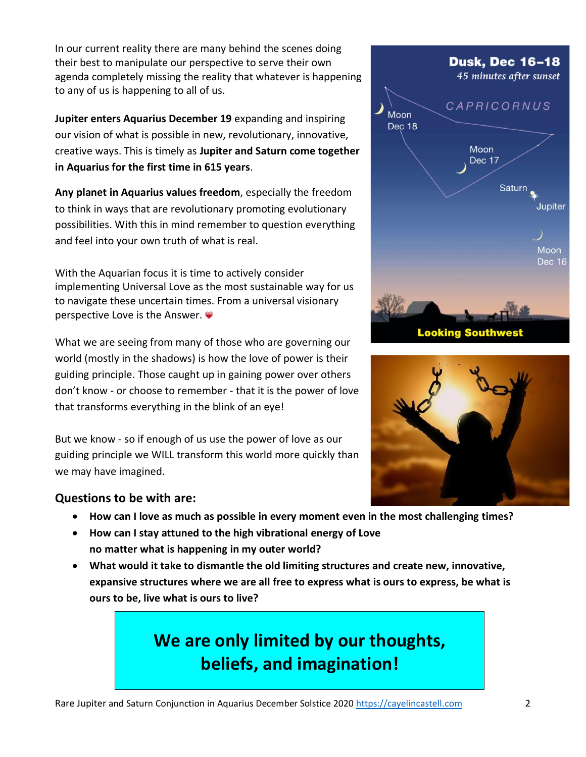In our current reality there are many behind the scenes doing their best to manipulate our perspective to serve their own agenda completely missing the reality that whatever is happening to any of us is happening to all of us.

**Jupiter enters Aquarius December 19** expanding and inspiring our vision of what is possible in new, revolutionary, innovative, creative ways. This is timely as **Jupiter and Saturn come together in Aquarius for the first time in 615 years**.

**Any planet in Aquarius values freedom**, especially the freedom to think in ways that are revolutionary promoting evolutionary possibilities. With this in mind remember to question everything and feel into your own truth of what is real.

With the Aquarian focus it is time to actively consider implementing Universal Love as the most sustainable way for us to navigate these uncertain times. From a universal visionary perspective Love is the Answer.

What we are seeing from many of those who are governing our world (mostly in the shadows) is how the love of power is their guiding principle. Those caught up in gaining power over others don't know - or choose to remember - that it is the power of love that transforms everything in the blink of an eye!

But we know - so if enough of us use the power of love as our guiding principle we WILL transform this world more quickly than we may have imagined.

#### **Questions to be with are:**

- **How can I love as much as possible in every moment even in the most challenging times?**
- **How can I stay attuned to the high vibrational energy of Love no matter what is happening in my outer world?**
- **What would it take to dismantle the old limiting structures and create new, innovative, expansive structures where we are all free to express what is ours to express, be what is ours to be, live what is ours to live?**

# **We are only limited by our thoughts, beliefs, and imagination!**



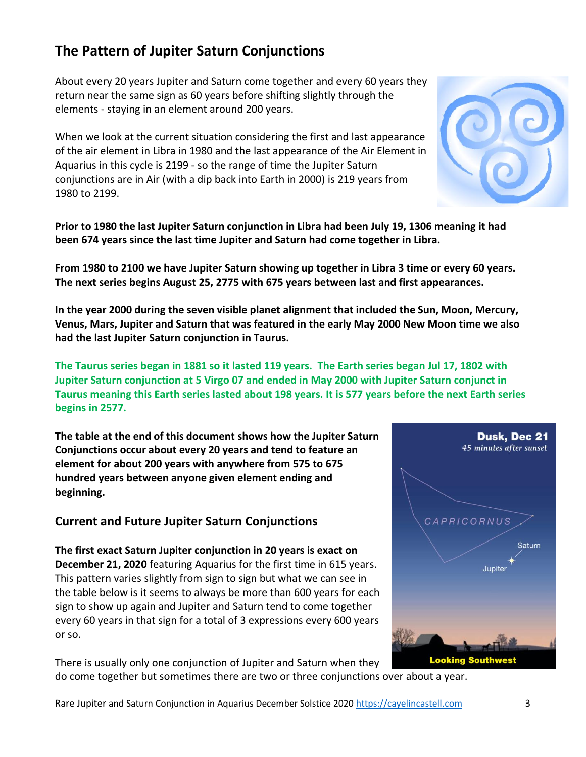## do come together but sometimes there are two or three conjunctions over about a year.

Rare Jupiter and Saturn Conjunction in Aquarius December Solstice 2020 [https://cayelincastell.com](https://cayelincastell.com/) 3

### **The Pattern of Jupiter Saturn Conjunctions**

About every 20 years Jupiter and Saturn come together and every 60 years they return near the same sign as 60 years before shifting slightly through the elements - staying in an element around 200 years.

When we look at the current situation considering the first and last appearance of the air element in Libra in 1980 and the last appearance of the Air Element in Aquarius in this cycle is 2199 - so the range of time the Jupiter Saturn conjunctions are in Air (with a dip back into Earth in 2000) is 219 years from 1980 to 2199.

**Prior to 1980 the last Jupiter Saturn conjunction in Libra had been July 19, 1306 meaning it had been 674 years since the last time Jupiter and Saturn had come together in Libra.** 

**From 1980 to 2100 we have Jupiter Saturn showing up together in Libra 3 time or every 60 years. The next series begins August 25, 2775 with 675 years between last and first appearances.**

**In the year 2000 during the seven visible planet alignment that included the Sun, Moon, Mercury, Venus, Mars, Jupiter and Saturn that was featured in the early May 2000 New Moon time we also had the last Jupiter Saturn conjunction in Taurus.** 

**The Taurus series began in 1881 so it lasted 119 years. The Earth series began Jul 17, 1802 with Jupiter Saturn conjunction at 5 Virgo 07 and ended in May 2000 with Jupiter Saturn conjunct in Taurus meaning this Earth series lasted about 198 years. It is 577 years before the next Earth series begins in 2577.**

**The table at the end of this document shows how the Jupiter Saturn Conjunctions occur about every 20 years and tend to feature an element for about 200 years with anywhere from 575 to 675 hundred years between anyone given element ending and beginning.**

#### **Current and Future Jupiter Saturn Conjunctions**

**The first exact Saturn Jupiter conjunction in 20 years is exact on December 21, 2020** featuring Aquarius for the first time in 615 years. This pattern varies slightly from sign to sign but what we can see in the table below is it seems to always be more than 600 years for each sign to show up again and Jupiter and Saturn tend to come together every 60 years in that sign for a total of 3 expressions every 600 years or so.

There is usually only one conjunction of Jupiter and Saturn when they



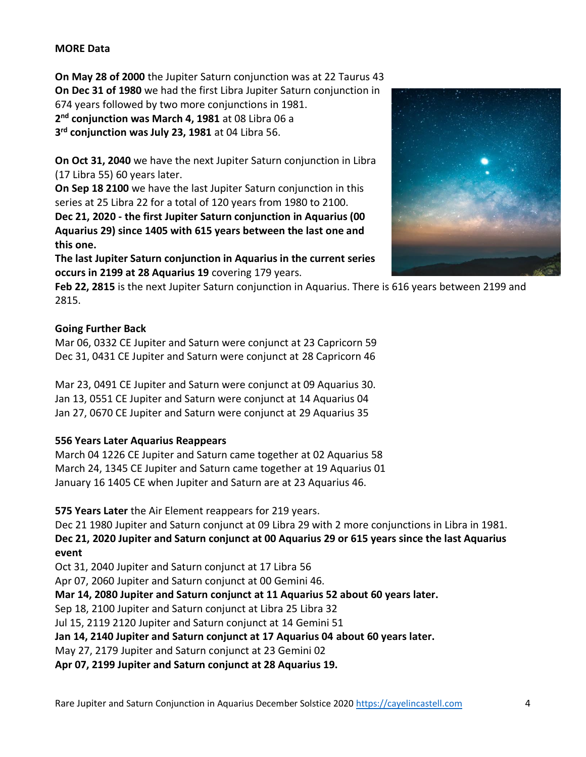#### **MORE Data**

**On May 28 of 2000** the Jupiter Saturn conjunction was at 22 Taurus 43 **On Dec 31 of 1980** we had the first Libra Jupiter Saturn conjunction in 674 years followed by two more conjunctions in 1981.

**2 nd conjunction was March 4, 1981** at 08 Libra 06 a

**3 rd conjunction was July 23, 1981** at 04 Libra 56.

**On Oct 31, 2040** we have the next Jupiter Saturn conjunction in Libra (17 Libra 55) 60 years later.

**On Sep 18 2100** we have the last Jupiter Saturn conjunction in this series at 25 Libra 22 for a total of 120 years from 1980 to 2100.

**Dec 21, 2020 - the first Jupiter Saturn conjunction in Aquarius (00 Aquarius 29) since 1405 with 615 years between the last one and this one.** 

**The last Jupiter Saturn conjunction in Aquarius in the current series occurs in 2199 at 28 Aquarius 19** covering 179 years.



**Feb 22, 2815** is the next Jupiter Saturn conjunction in Aquarius. There is 616 years between 2199 and 2815.

#### **Going Further Back**

Mar 06, 0332 CE Jupiter and Saturn were conjunct at 23 Capricorn 59 Dec 31, 0431 CE Jupiter and Saturn were conjunct at 28 Capricorn 46

Mar 23, 0491 CE Jupiter and Saturn were conjunct at 09 Aquarius 30. Jan 13, 0551 CE Jupiter and Saturn were conjunct at 14 Aquarius 04 Jan 27, 0670 CE Jupiter and Saturn were conjunct at 29 Aquarius 35

#### **556 Years Later Aquarius Reappears**

March 04 1226 CE Jupiter and Saturn came together at 02 Aquarius 58 March 24, 1345 CE Jupiter and Saturn came together at 19 Aquarius 01 January 16 1405 CE when Jupiter and Saturn are at 23 Aquarius 46.

**575 Years Later** the Air Element reappears for 219 years.

Dec 21 1980 Jupiter and Saturn conjunct at 09 Libra 29 with 2 more conjunctions in Libra in 1981.

**Dec 21, 2020 Jupiter and Saturn conjunct at 00 Aquarius 29 or 615 years since the last Aquarius event**

Oct 31, 2040 Jupiter and Saturn conjunct at 17 Libra 56

Apr 07, 2060 Jupiter and Saturn conjunct at 00 Gemini 46.

**Mar 14, 2080 Jupiter and Saturn conjunct at 11 Aquarius 52 about 60 years later.**

Sep 18, 2100 Jupiter and Saturn conjunct at Libra 25 Libra 32

Jul 15, 2119 2120 Jupiter and Saturn conjunct at 14 Gemini 51

**Jan 14, 2140 Jupiter and Saturn conjunct at 17 Aquarius 04 about 60 years later.**

May 27, 2179 Jupiter and Saturn conjunct at 23 Gemini 02

**Apr 07, 2199 Jupiter and Saturn conjunct at 28 Aquarius 19.**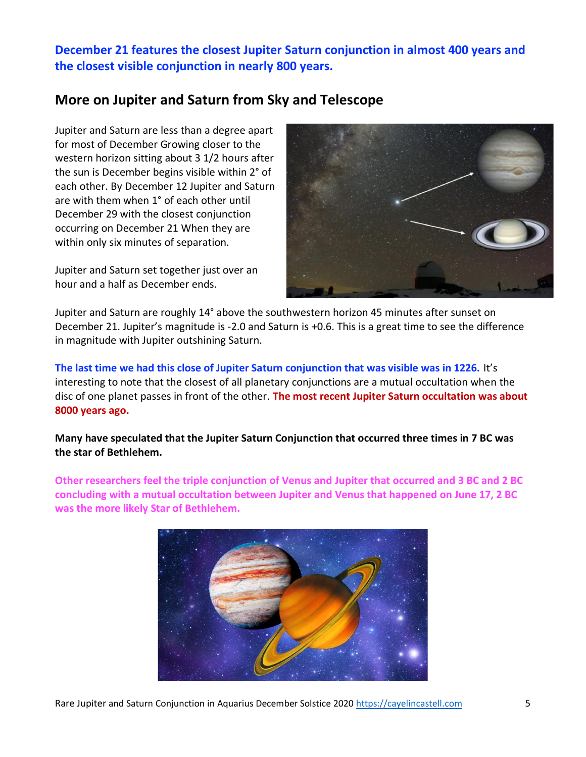**December 21 features the closest Jupiter Saturn conjunction in almost 400 years and the closest visible conjunction in nearly 800 years.**

### **More on Jupiter and Saturn from Sky and Telescope**

Jupiter and Saturn are less than a degree apart for most of December Growing closer to the western horizon sitting about 3 1/2 hours after the sun is December begins visible within 2° of each other. By December 12 Jupiter and Saturn are with them when 1° of each other until December 29 with the closest conjunction occurring on December 21 When they are within only six minutes of separation.

Jupiter and Saturn set together just over an hour and a half as December ends.



Jupiter and Saturn are roughly 14° above the southwestern horizon 45 minutes after sunset on December 21. Jupiter's magnitude is -2.0 and Saturn is +0.6. This is a great time to see the difference in magnitude with Jupiter outshining Saturn.

**The last time we had this close of Jupiter Saturn conjunction that was visible was in 1226.** It's interesting to note that the closest of all planetary conjunctions are a mutual occultation when the disc of one planet passes in front of the other. **The most recent Jupiter Saturn occultation was about 8000 years ago.**

**Many have speculated that the Jupiter Saturn Conjunction that occurred three times in 7 BC was the star of Bethlehem.**

**Other researchers feel the triple conjunction of Venus and Jupiter that occurred and 3 BC and 2 BC concluding with a mutual occultation between Jupiter and Venus that happened on June 17, 2 BC was the more likely Star of Bethlehem.**

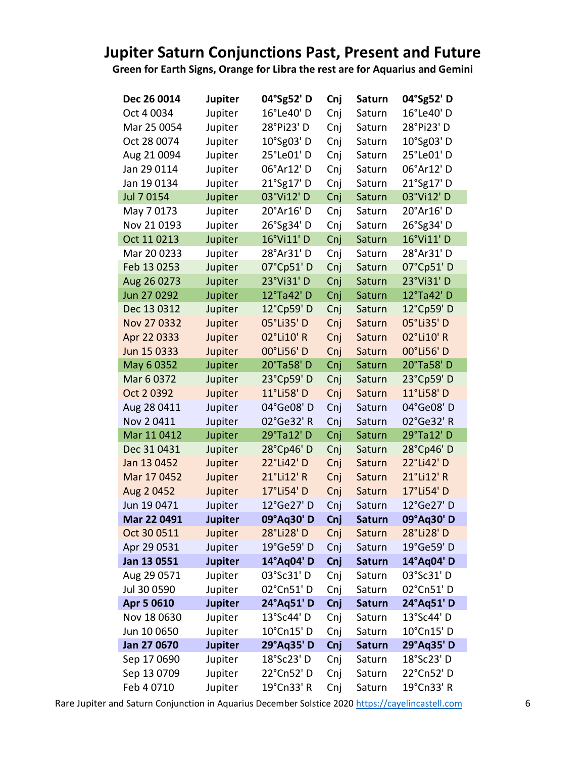# **Jupiter Saturn Conjunctions Past, Present and Future**

**Green for Earth Signs, Orange for Libra the rest are for Aquarius and Gemini**

| Dec 26 0014 | <b>Jupiter</b> | 04°Sg52' D | Cnj | <b>Saturn</b> | 04°Sg52' D |
|-------------|----------------|------------|-----|---------------|------------|
| Oct 4 0034  | Jupiter        | 16°Le40' D | Cnj | Saturn        | 16°Le40' D |
| Mar 25 0054 | Jupiter        | 28°Pi23' D | Cnj | Saturn        | 28°Pi23' D |
| Oct 28 0074 | Jupiter        | 10°Sg03' D | Cnj | Saturn        | 10°Sg03' D |
| Aug 21 0094 | Jupiter        | 25°Le01'D  | Cnj | Saturn        | 25°Le01'D  |
| Jan 29 0114 | Jupiter        | 06°Ar12' D | Cnj | Saturn        | 06°Ar12' D |
| Jan 19 0134 | Jupiter        | 21°Sg17' D | Cnj | Saturn        | 21°Sg17' D |
| Jul 7 0154  | Jupiter        | 03°Vi12' D | Cnj | Saturn        | 03°Vi12' D |
| May 70173   | Jupiter        | 20°Ar16' D | Cnj | Saturn        | 20°Ar16' D |
| Nov 21 0193 | Jupiter        | 26°Sg34' D | Cnj | Saturn        | 26°Sg34' D |
| Oct 11 0213 | Jupiter        | 16°Vi11' D | Cnj | Saturn        | 16°Vi11' D |
| Mar 20 0233 | Jupiter        | 28°Ar31' D | Cnj | Saturn        | 28°Ar31' D |
| Feb 13 0253 | Jupiter        | 07°Cp51'D  | Cnj | Saturn        | 07°Cp51'D  |
| Aug 26 0273 | Jupiter        | 23°Vi31' D | Cnj | Saturn        | 23°Vi31' D |
| Jun 27 0292 | Jupiter        | 12°Ta42' D | Cnj | Saturn        | 12°Ta42' D |
| Dec 13 0312 | Jupiter        | 12°Cp59' D | Cnj | Saturn        | 12°Cp59' D |
| Nov 27 0332 | Jupiter        | 05°Li35' D | Cnj | Saturn        | 05°Li35' D |
| Apr 22 0333 | Jupiter        | 02°Li10' R | Cnj | Saturn        | 02°Li10' R |
| Jun 15 0333 | Jupiter        | 00°Li56' D | Cnj | Saturn        | 00°Li56' D |
| May 6 0352  | Jupiter        | 20°Ta58' D | Cnj | Saturn        | 20°Ta58' D |
| Mar 6 0372  | Jupiter        | 23°Cp59' D | Cnj | Saturn        | 23°Cp59' D |
| Oct 2 0392  | Jupiter        | 11°Li58' D | Cnj | Saturn        | 11°Li58' D |
| Aug 28 0411 | Jupiter        | 04°Ge08'D  | Cnj | Saturn        | 04°Ge08'D  |
| Nov 20411   | Jupiter        | 02°Ge32' R | Cnj | Saturn        | 02°Ge32' R |
| Mar 11 0412 | Jupiter        | 29°Ta12' D | Cnj | Saturn        | 29°Ta12' D |
| Dec 31 0431 | Jupiter        | 28°Cp46' D | Cnj | Saturn        | 28°Cp46' D |
| Jan 13 0452 | Jupiter        | 22°Li42' D | Cnj | Saturn        | 22°Li42' D |
| Mar 17 0452 | Jupiter        | 21°Li12' R | Cnj | Saturn        | 21°Li12' R |
| Aug 2 0452  | Jupiter        | 17°Li54' D | Cnj | Saturn        | 17°Li54' D |
| Jun 19 0471 | Jupiter        | 12°Ge27' D | Cnj | Saturn        | 12°Ge27' D |
| Mar 22 0491 | <b>Jupiter</b> | 09°Aq30' D | Cnj | <b>Saturn</b> | 09°Aq30'D  |
| Oct 30 0511 | Jupiter        | 28°Li28' D | Cnj | Saturn        | 28°Li28' D |
| Apr 29 0531 | Jupiter        | 19°Ge59' D | Cnj | Saturn        | 19°Ge59' D |
| Jan 13 0551 | <b>Jupiter</b> | 14°Aq04' D | Cnj | <b>Saturn</b> | 14°Aq04' D |
| Aug 29 0571 | Jupiter        | 03°Sc31' D | Cnj | Saturn        | 03°Sc31'D  |
| Jul 30 0590 | Jupiter        | 02°Cn51' D | Cnj | Saturn        | 02°Cn51' D |
| Apr 5 0610  | <b>Jupiter</b> | 24°Aq51' D | Cnj | <b>Saturn</b> | 24°Aq51' D |
| Nov 18 0630 | Jupiter        | 13°Sc44' D | Cnj | Saturn        | 13°Sc44' D |
| Jun 10 0650 | Jupiter        | 10°Cn15' D | Cnj | Saturn        | 10°Cn15' D |
| Jan 27 0670 | <b>Jupiter</b> | 29°Aq35' D | Cnj | <b>Saturn</b> | 29°Aq35' D |
| Sep 17 0690 | Jupiter        | 18°Sc23' D | Cnj | Saturn        | 18°Sc23' D |
| Sep 13 0709 | Jupiter        | 22°Cn52' D | Cnj | Saturn        | 22°Cn52' D |
| Feb 4 0710  | Jupiter        | 19°Cn33' R | Cnj | Saturn        | 19°Cn33' R |

Rare Jupiter and Saturn Conjunction in Aquarius December Solstice 2020 [https://cayelincastell.com](https://cayelincastell.com/) 6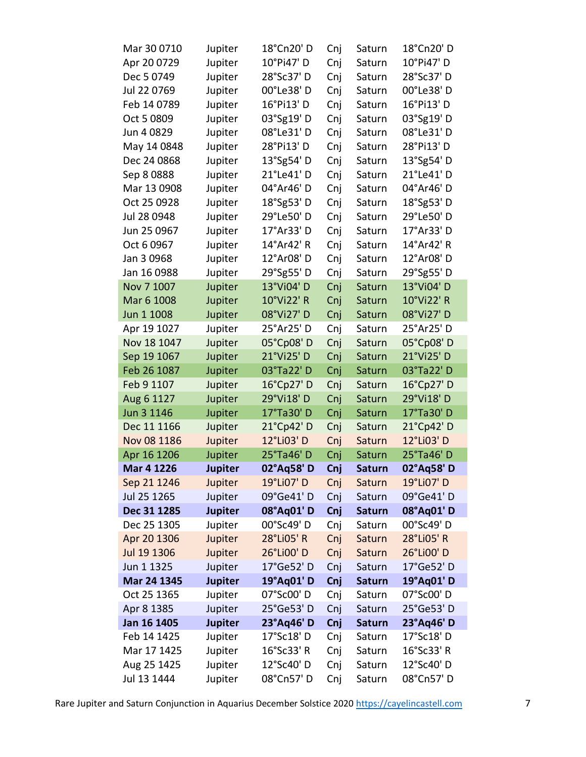| Mar 30 0710       | Jupiter        | 18°Cn20' D | Cnj | Saturn        | 18°Cn20′ D |
|-------------------|----------------|------------|-----|---------------|------------|
| Apr 20 0729       | Jupiter        | 10°Pi47' D | Cnj | Saturn        | 10°Pi47' D |
| Dec 5 0749        | Jupiter        | 28°Sc37'D  | Cnj | Saturn        | 28°Sc37' D |
| Jul 22 0769       | Jupiter        | 00°Le38'D  | Cnj | Saturn        | 00°Le38'D  |
| Feb 14 0789       | Jupiter        | 16°Pi13' D | Cnj | Saturn        | 16°Pi13' D |
| Oct 5 0809        | Jupiter        | 03°Sg19' D | Cnj | Saturn        | 03°Sg19' D |
| Jun 4 0829        | Jupiter        | 08°Le31'D  | Cnj | Saturn        | 08°Le31'D  |
| May 14 0848       | Jupiter        | 28°Pi13' D | Cnj | Saturn        | 28°Pi13' D |
| Dec 24 0868       | Jupiter        | 13°Sg54' D | Cnj | Saturn        | 13°Sg54' D |
| Sep 8 0888        | Jupiter        | 21°Le41' D | Cnj | Saturn        | 21°Le41' D |
| Mar 13 0908       | Jupiter        | 04°Ar46' D | Cnj | Saturn        | 04°Ar46' D |
| Oct 25 0928       | Jupiter        | 18°Sg53'D  | Cnj | Saturn        | 18°Sg53'D  |
| Jul 28 0948       | Jupiter        | 29°Le50' D | Cnj | Saturn        | 29°Le50' D |
| Jun 25 0967       | Jupiter        | 17°Ar33' D | Cnj | Saturn        | 17°Ar33' D |
| Oct 6 0967        | Jupiter        | 14°Ar42' R | Cnj | Saturn        | 14°Ar42' R |
| Jan 3 0968        | Jupiter        | 12°Ar08'D  | Cnj | Saturn        | 12°Ar08' D |
| Jan 16 0988       | Jupiter        | 29°Sg55'D  | Cnj | Saturn        | 29°Sg55'D  |
| Nov 7 1007        | Jupiter        | 13°Vi04' D | Cnj | Saturn        | 13°Vi04' D |
| Mar 6 1008        | Jupiter        | 10°Vi22' R | Cnj | Saturn        | 10°Vi22' R |
| Jun 1 1008        | Jupiter        | 08°Vi27'D  | Cnj | Saturn        | 08°Vi27' D |
| Apr 19 1027       | Jupiter        | 25°Ar25'D  | Cnj | Saturn        | 25°Ar25'D  |
| Nov 18 1047       | Jupiter        | 05°Cp08'D  | Cnj | Saturn        | 05°Cp08'D  |
| Sep 19 1067       | Jupiter        | 21°Vi25' D | Cnj | Saturn        | 21°Vi25' D |
| Feb 26 1087       | Jupiter        | 03°Ta22' D | Cnj | Saturn        | 03°Ta22' D |
| Feb 9 1107        | Jupiter        | 16°Cp27' D | Cnj | Saturn        | 16°Cp27' D |
| Aug 6 1127        | Jupiter        | 29°Vi18'D  | Cnj | Saturn        | 29°Vi18' D |
| Jun 3 1146        | Jupiter        | 17°Ta30'D  | Cnj | Saturn        | 17°Ta30' D |
| Dec 11 1166       | Jupiter        | 21°Cp42' D | Cnj | Saturn        | 21°Cp42' D |
| Nov 08 1186       | Jupiter        | 12°Li03' D | Cnj | Saturn        | 12°Li03' D |
| Apr 16 1206       | Jupiter        | 25°Ta46'D  | Cnj | Saturn        | 25°Ta46'D  |
| <b>Mar 4 1226</b> | Jupiter        | 02°Aq58'D  | Cnj | Saturn        | 02°Aq58'D  |
| Sep 21 1246       | Jupiter        | 19°Li07' D | Cnj | Saturn        | 19°Li07' D |
| Jul 25 1265       | Jupiter        | 09°Ge41' D | Cnj | Saturn        | 09°Ge41' D |
| Dec 31 1285       | <b>Jupiter</b> | 08°Aq01' D | Cnj | <b>Saturn</b> | 08°Aq01' D |
| Dec 25 1305       | Jupiter        | 00°Sc49' D | Cnj | Saturn        | 00°Sc49' D |
| Apr 20 1306       | Jupiter        | 28°Li05' R | Cnj | Saturn        | 28°Li05' R |
| Jul 19 1306       | Jupiter        | 26°Li00' D | Cnj | Saturn        | 26°Li00' D |
| Jun 1 1325        | Jupiter        | 17°Ge52' D | Cnj | Saturn        | 17°Ge52' D |
| Mar 24 1345       | <b>Jupiter</b> | 19°Aq01' D | Cnj | <b>Saturn</b> | 19°Aq01' D |
| Oct 25 1365       | Jupiter        | 07°Sc00' D | Cnj | Saturn        | 07°Sc00' D |
| Apr 8 1385        | Jupiter        | 25°Ge53'D  | Cnj | Saturn        | 25°Ge53'D  |
| Jan 16 1405       | <b>Jupiter</b> | 23°Aq46' D | Cnj | <b>Saturn</b> | 23°Aq46' D |
| Feb 14 1425       | Jupiter        | 17°Sc18' D | Cnj | Saturn        | 17°Sc18' D |
| Mar 17 1425       | Jupiter        | 16°Sc33' R | Cnj | Saturn        | 16°Sc33' R |
| Aug 25 1425       | Jupiter        | 12°Sc40' D | Cnj | Saturn        | 12°Sc40' D |
| Jul 13 1444       | Jupiter        | 08°Cn57'D  | Cnj | Saturn        | 08°Cn57'D  |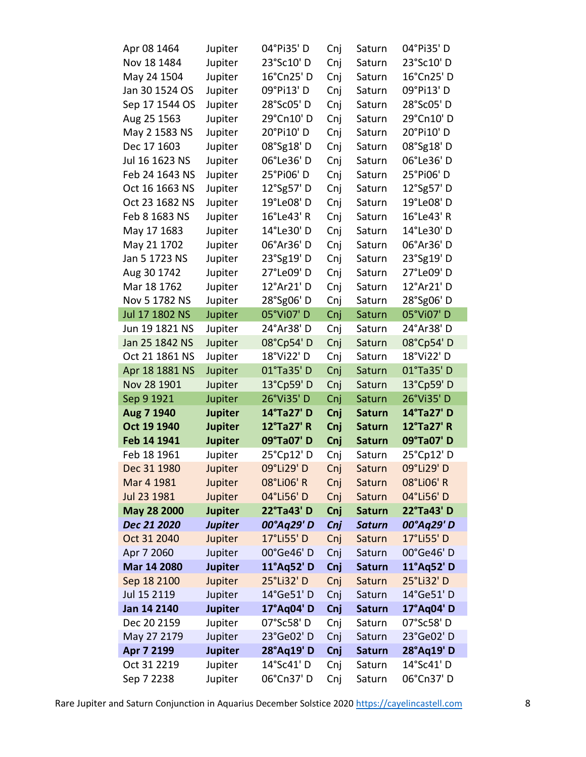| Apr 08 1464               | Jupiter            | 04°Pi35'D                | Cnj        | Saturn           | 04°Pi35'D                |
|---------------------------|--------------------|--------------------------|------------|------------------|--------------------------|
| Nov 18 1484               | Jupiter            | 23°Sc10' D               | Cnj        | Saturn           | 23°Sc10' D               |
| May 24 1504               | Jupiter            | 16°Cn25'D                | Cnj        | Saturn           | 16°Cn25'D                |
| Jan 30 1524 OS            | Jupiter            | 09°Pi13' D               | Cnj        | Saturn           | 09°Pi13' D               |
| Sep 17 1544 OS            | Jupiter            | 28°Sc05'D                | Cnj        | Saturn           | 28°Sc05'D                |
| Aug 25 1563               | Jupiter            | 29°Cn10'D                | Cnj        | Saturn           | 29°Cn10' D               |
| May 2 1583 NS             | Jupiter            | 20°Pi10' D               | Cnj        | Saturn           | 20°Pi10' D               |
| Dec 17 1603               | Jupiter            | 08°Sg18'D                | Cnj        | Saturn           | 08°Sg18'D                |
| Jul 16 1623 NS            | Jupiter            | 06°Le36'D                | Cnj        | Saturn           | 06°Le36' D               |
| Feb 24 1643 NS            | Jupiter            | 25°Pi06' D               | Cnj        | Saturn           | 25°Pi06' D               |
| Oct 16 1663 NS            | Jupiter            | 12°Sg57' D               | Cnj        | Saturn           | 12°Sg57' D               |
| Oct 23 1682 NS            | Jupiter            | 19°Le08' D               | Cnj        | Saturn           | 19°Le08' D               |
| Feb 8 1683 NS             | Jupiter            | 16°Le43' R               | Cnj        | Saturn           | 16°Le43' R               |
| May 17 1683               | Jupiter            | 14°Le30' D               | Cnj        | Saturn           | 14°Le30'D                |
| May 21 1702               | Jupiter            | 06°Ar36' D               | Cnj        | Saturn           | 06°Ar36'D                |
| Jan 5 1723 NS             | Jupiter            | 23°Sg19' D               | Cnj        | Saturn           | 23°Sg19' D               |
| Aug 30 1742               | Jupiter            | 27°Le09'D                | Cnj        | Saturn           | 27°Le09'D                |
| Mar 18 1762               | Jupiter            | 12°Ar21' D               | Cnj        | Saturn           | 12°Ar21' D               |
| Nov 5 1782 NS             | Jupiter            | 28°Sg06'D                | Cnj        | Saturn           | 28°Sg06'D                |
| Jul 17 1802 NS            | Jupiter            | 05°Vi07' D               | Cnj        | Saturn           | 05°Vi07' D               |
| Jun 19 1821 NS            | Jupiter            | 24°Ar38' D               | Cnj        | Saturn           | 24°Ar38' D               |
| Jan 25 1842 NS            | Jupiter            | 08°Cp54'D                | Cnj        | Saturn           | 08°Cp54'D                |
| Oct 21 1861 NS            | Jupiter            | 18°Vi22' D               | Cnj        | Saturn           | 18°Vi22' D               |
| Apr 18 1881 NS            | Jupiter            | 01°Ta35' D               | Cnj        | Saturn           | 01°Ta35'D                |
| Nov 28 1901               | Jupiter            | 13°Cp59' D               | Cnj        | Saturn           | 13°Cp59' D               |
| Sep 9 1921                | Jupiter            | 26°Vi35' D               | Cnj        | Saturn           | 26°Vi35' D               |
| Aug 7 1940                | <b>Jupiter</b>     | 14°Ta27' D               | Cnj        | <b>Saturn</b>    | 14°Ta27' D               |
| Oct 19 1940               | <b>Jupiter</b>     | 12°Ta27' R               | Cnj        | <b>Saturn</b>    | 12°Ta27' R               |
| Feb 14 1941               | <b>Jupiter</b>     | 09°Ta07' D               | Cnj        | <b>Saturn</b>    | 09°Ta07' D               |
| Feb 18 1961               | Jupiter            | 25°Cp12' D               | Cnj        | Saturn           | 25°Cp12' D               |
| Dec 31 1980               | Jupiter            | 09°Li29' D               | Cnj        | Saturn           | 09°Li29' D               |
| Mar 4 1981                | Jupiter            | 08°Li06' R               | Cnj        | Saturn           | 08°Li06' R               |
| Jul 23 1981               | Jupiter            | 04°Li56' D               | Cnj        | Saturn           | 04°Li56' D               |
| May 28 2000               | <b>Jupiter</b>     | 22°Ta43' D               | Cnj        | <b>Saturn</b>    | 22°Ta43' D               |
| Dec 21 2020               | <b>Jupiter</b>     | 00°Aq29' D               | Cnj        | <b>Saturn</b>    | 00°Aq29' D               |
| Oct 31 2040               | Jupiter            | 17°Li55' D               | Cnj        | Saturn           | 17°Li55' D               |
| Apr 7 2060                | Jupiter            | 00°Ge46'D                | Cnj        | Saturn           | 00°Ge46'D                |
| Mar 14 2080               | <b>Jupiter</b>     | 11°Aq52' D               | Cnj        | <b>Saturn</b>    | 11°Aq52' D               |
| Sep 18 2100               | Jupiter            | 25°Li32' D               | Cnj        | Saturn           | 25°Li32' D               |
| Jul 15 2119               | Jupiter            | 14°Ge51'D                | Cnj        | Saturn           | 14°Ge51'D                |
| Jan 14 2140               |                    |                          | Cnj        | <b>Saturn</b>    | 17°Aq04' D               |
|                           | <b>Jupiter</b>     | 17°Aq04' D               |            |                  |                          |
| Dec 20 2159               | Jupiter            | 07°Sc58'D                | Cnj        | Saturn           | 07°Sc58'D                |
| May 27 2179               | Jupiter            | 23°Ge02'D                | Cnj        | Saturn           | 23°Ge02'D                |
| Apr 7 2199                | <b>Jupiter</b>     | 28°Aq19' D               | Cnj        | <b>Saturn</b>    | 28°Aq19' D               |
| Oct 31 2219<br>Sep 7 2238 | Jupiter<br>Jupiter | 14°Sc41' D<br>06°Cn37' D | Cnj<br>Cnj | Saturn<br>Saturn | 14°Sc41' D<br>06°Cn37' D |